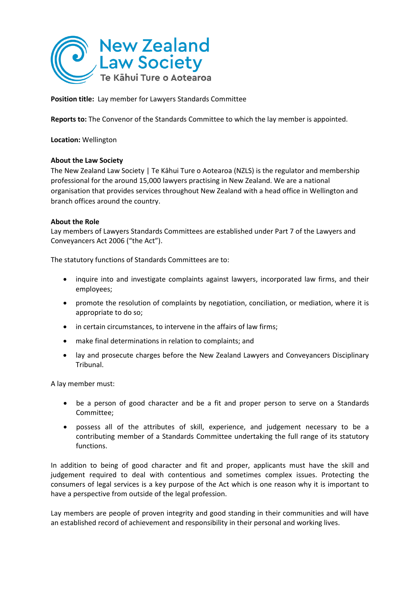

**Position title:** Lay member for Lawyers Standards Committee

**Reports to:** The Convenor of the Standards Committee to which the lay member is appointed.

**Location:** Wellington

#### **About the Law Society**

The New Zealand Law Society | Te Kāhui Ture o Aotearoa (NZLS) is the regulator and membership professional for the around 15,000 lawyers practising in New Zealand. We are a national organisation that provides services throughout New Zealand with a head office in Wellington and branch offices around the country.

## **About the Role**

Lay members of Lawyers Standards Committees are established under Part 7 of the Lawyers and Conveyancers Act 2006 ("the Act").

The statutory functions of Standards Committees are to:

- inquire into and investigate complaints against lawyers, incorporated law firms, and their employees;
- promote the resolution of complaints by negotiation, conciliation, or mediation, where it is appropriate to do so;
- in certain circumstances, to intervene in the affairs of law firms;
- make final determinations in relation to complaints; and
- lay and prosecute charges before the New Zealand Lawyers and Conveyancers Disciplinary Tribunal.

A lay member must:

- be a person of good character and be a fit and proper person to serve on a Standards Committee;
- possess all of the attributes of skill, experience, and judgement necessary to be a contributing member of a Standards Committee undertaking the full range of its statutory functions.

In addition to being of good character and fit and proper, applicants must have the skill and judgement required to deal with contentious and sometimes complex issues. Protecting the consumers of legal services is a key purpose of the Act which is one reason why it is important to have a perspective from outside of the legal profession.

Lay members are people of proven integrity and good standing in their communities and will have an established record of achievement and responsibility in their personal and working lives.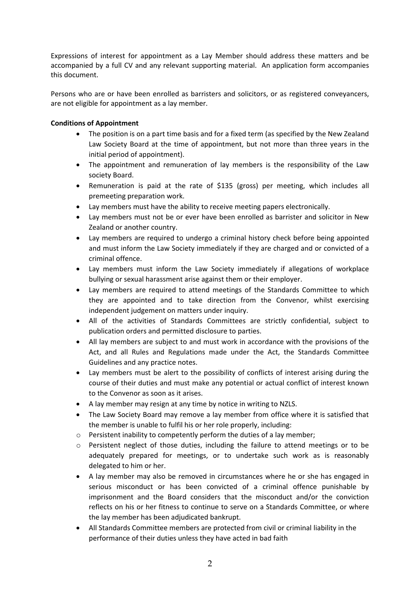Expressions of interest for appointment as a Lay Member should address these matters and be accompanied by a full CV and any relevant supporting material. An application form accompanies this document.

Persons who are or have been enrolled as barristers and solicitors, or as registered conveyancers, are not eligible for appointment as a lay member.

# **Conditions of Appointment**

- The position is on a part time basis and for a fixed term (as specified by the New Zealand Law Society Board at the time of appointment, but not more than three years in the initial period of appointment).
- The appointment and remuneration of lay members is the responsibility of the Law society Board.
- Remuneration is paid at the rate of \$135 (gross) per meeting, which includes all premeeting preparation work.
- Lay members must have the ability to receive meeting papers electronically.
- Lay members must not be or ever have been enrolled as barrister and solicitor in New Zealand or another country.
- Lay members are required to undergo a criminal history check before being appointed and must inform the Law Society immediately if they are charged and or convicted of a criminal offence.
- Lay members must inform the Law Society immediately if allegations of workplace bullying or sexual harassment arise against them or their employer.
- Lay members are required to attend meetings of the Standards Committee to which they are appointed and to take direction from the Convenor, whilst exercising independent judgement on matters under inquiry.
- All of the activities of Standards Committees are strictly confidential, subject to publication orders and permitted disclosure to parties.
- All lay members are subject to and must work in accordance with the provisions of the Act, and all Rules and Regulations made under the Act, the Standards Committee Guidelines and any practice notes.
- Lay members must be alert to the possibility of conflicts of interest arising during the course of their duties and must make any potential or actual conflict of interest known to the Convenor as soon as it arises.
- A lay member may resign at any time by notice in writing to NZLS.
- The Law Society Board may remove a lay member from office where it is satisfied that the member is unable to fulfil his or her role properly, including:
- o Persistent inability to competently perform the duties of a lay member;
- o Persistent neglect of those duties, including the failure to attend meetings or to be adequately prepared for meetings, or to undertake such work as is reasonably delegated to him or her.
- A lay member may also be removed in circumstances where he or she has engaged in serious misconduct or has been convicted of a criminal offence punishable by imprisonment and the Board considers that the misconduct and/or the conviction reflects on his or her fitness to continue to serve on a Standards Committee, or where the lay member has been adjudicated bankrupt.
- All Standards Committee members are protected from civil or criminal liability in the performance of their duties unless they have acted in bad faith